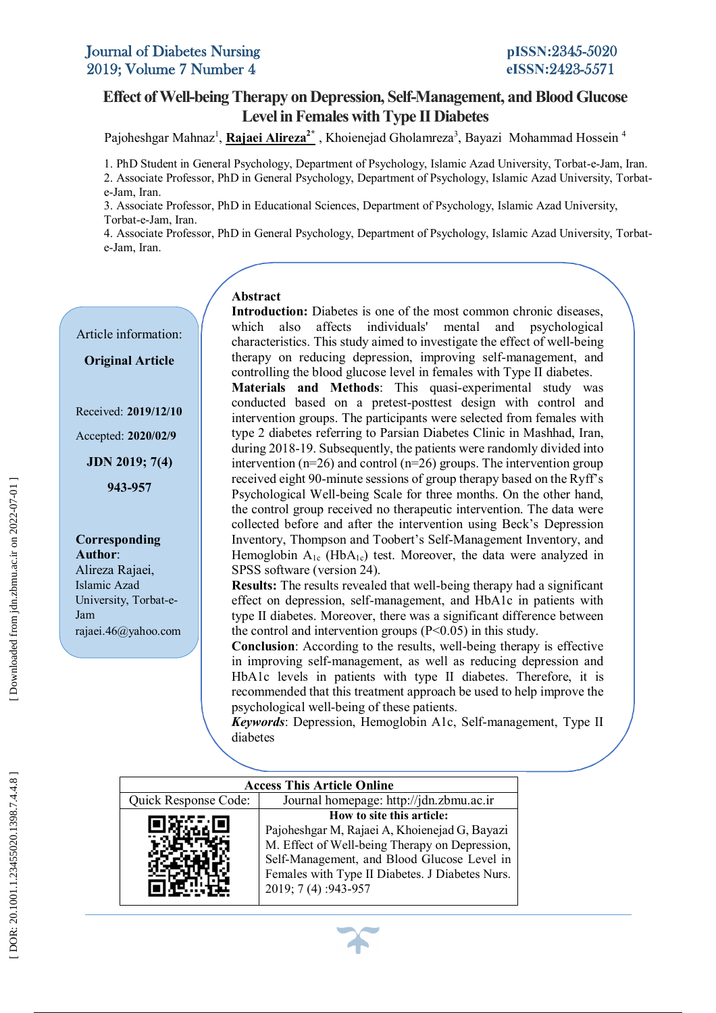Article information:

**Original Article**

Received: **2019/12/10**

Accepted: **2020/02/9**

**JDN 2019; 7( 4 )**

 **943 -957**

**Corresponding** 

University, Torbat-e-

rajaei.46@yahoo.com

**Author** : Alireza Rajaei , Islamic Azad

Jam

## **Level in Females with Type II Diabetes Effect of Well-being Therapy on Depression, Self-Management, and Blood Glucose**

Pajoheshgar Mahnaz<sup>1</sup>, <mark>Rajaei Alireza<sup>2\*</sup></mark> , Khoienejad Gholamreza<sup>3</sup>, Bayazi Mohammad Hossein <sup>4</sup>

1. PhD Student in General Psychology, Department of Psychology, Islamic Azad University, Torbat-e-Jam, Iran. 2. Associate Professor, PhD in General Psychology, Department of Psychology, Islamic Azad University, Torbat e -Jam, Iran.

e-Jam, Iran.<br>3. Associate Professor, PhD in Educational Sciences, Department of Psychology, Islamic Azad University, Torbat-e-Jam, Iran.

Torbat-e-Jam, Iran.<br>4. Associate Professor, PhD in General Psychology, Department of Psychology, Islamic Azad University, Torbat- e - Jam, Iran.

### **Abstract**

 **Introduction:** Diabetes is one of the most common chronic diseases,  characteristics. This study aimed to investigate the effect of well -being  controlling the blood glucose level in females with Type II diabetes. **EXECUTE: EXECUTE: EXECUTE: EXECUTE: EXECUTE: EXECUTE: CONDUCTED: EXECUTE: CONDUCTED: CONDUCTED: CONDUCTED: CONDUCTED: CONDUCTED: CONDUCTED: CONDUCTED: CONDUCTED: CONDUCTED: CONDUCTED: C** intervention groups. The participants were selected from females with type 2 diabetes referring to Parsian Diabetes Clinic in Mashbad. Iran during 2018-19. Subsequently, the patients were randomly divided into<br>
intervention (n=26) and control (n=26) groups. The intervention group.  received eight 90 -minute sessions of group therapy based on the Ryff's  the control group received no therapeutic intervention. The data were which also affects individuals' mental and psychological therapy on reducing depression, improving self-management, and **Materials and Methods**: This quasi -experimental study was type 2 diabetes referring to Parsian Diabetes Clinic in Mashhad, Iran, intervention ( $n=26$ ) and control ( $n=26$ ) groups. The intervention group Psychological Well -being Scale for three months. On the other hand,

 Inventory, Thompson and Toobert's Self-Management Inventory, and **SPSS** software (version 24). collected before and after the intervention using Beck's Depression Hemoglobin  $A_{1c}$  (Hb $A_{1c}$ ) test. Moreover, the data were analyzed in

**Pressures.** The results revealed that were being thereby had a significant effect on depression, self-management, and HbA1c in patients with  the control and intervention groups (P<0.05) in this study. **Results:** The results revealed that well -being therapy had a significant type II diabetes. Moreover, there was a significant difference between

**Conclusion**: According to the results, well-being therapy is effective in improving self-management, as well as reducing depression and  HbA1c levels in patients with type II diabetes. Therefore, it is psychological well-being of these patients. **Conclusion**: According to the results, well -being therapy is effective recommended that this treatment approach be used to help improve the

*Keywords*: Depression, Hemoglobin A1c, Self-management, Type II diabetes

|                                                                 | <b>Access This Article Online</b>                                                                                                                                                                                                                      |  |  |  |  |
|-----------------------------------------------------------------|--------------------------------------------------------------------------------------------------------------------------------------------------------------------------------------------------------------------------------------------------------|--|--|--|--|
| Journal homepage: http://jdn.zbmu.ac.ir<br>Quick Response Code: |                                                                                                                                                                                                                                                        |  |  |  |  |
|                                                                 | How to site this article:<br>Pajoheshgar M, Rajaei A, Khoienejad G, Bayazi<br>M. Effect of Well-being Therapy on Depression,<br>Self-Management, and Blood Glucose Level in<br>Females with Type II Diabetes. J Diabetes Nurs.<br>2019; 7 (4): 943-957 |  |  |  |  |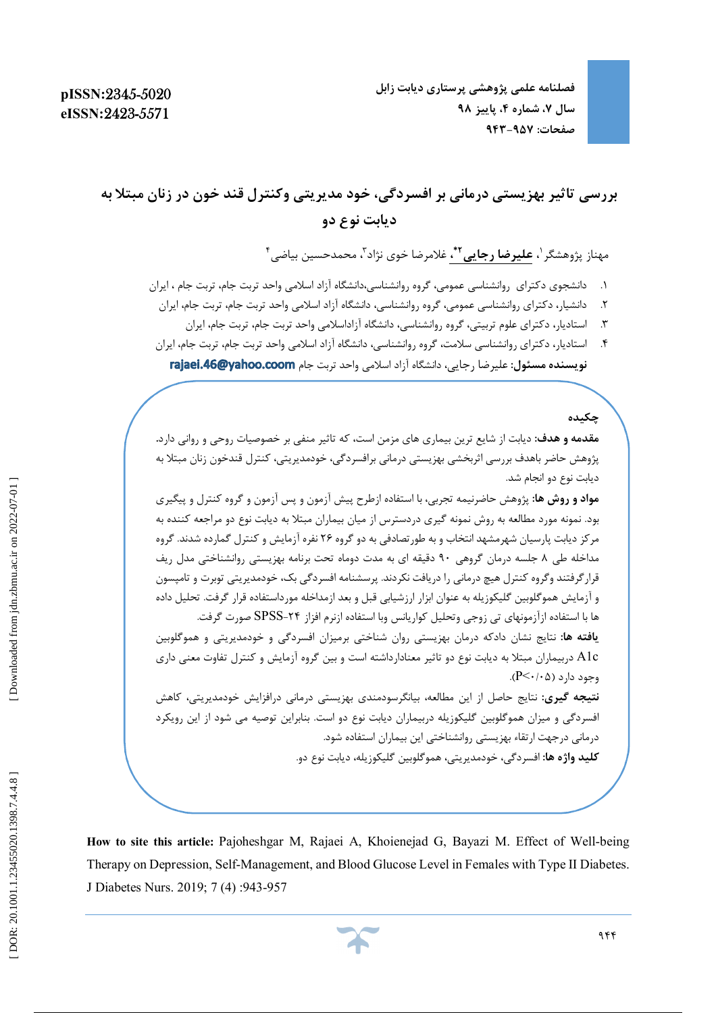# **بررسی تاثیر بهزیستی درمانی بر افسردگی، خود مدیریتی وکنترل قند خون در زنان مبتلا به دیابت نوع دو**

مهناز پژوهشگر <sup>(</sup>، **علیرضا رجایی<sup>۲</sup>ٌ،** غلامرضا خوی نژاد<sup>۳</sup>، محمدحسین بیاضی<sup>۴</sup>

- .1 دانشجوي دکتراي روانشناسی عمومی، گروه روانشناسی،دانشگاه آزاد اسلامی واحد تربت جام، تربت جام ، ایران
- ۲. دانشیار، دکترای روانشناسی عمومی، گروه روانشناسی، دانشگاه آزاد اسلامی واحد تربت جام، تربت جام، ایران
	- ۳. استادیار، دکترای علوم تربیتی، گروه روانشناسی، دانشگاه آزاداسلامی واحد تربت جام، تربت جام، ایران
- ۴. استادیار، دکترای روانشناسی سلامت، گروه روانشناسی، دانشگاه آزاد اسلامی واحد تربت جام، تربت جام، ایران **نویسنده مسئول:** علیرضا رجایی، دانشگاه آزاد اسلامی واحد تربت جام

**چکیده** 

ì

**مقدمه و هدف:** دیابت از شایع ترین بیماري هاي مزمن است، که تاثیر منفی بر خصوصیات روحی و روانی دارد**.** پژوهش حاضر باهدف بررسی اثربخشی بهزیستی درمانی برافسردگی، خودمدیریتی، کنترل قندخون زنان مبتلا به دیابت نوع دو انجام شد. **مواد و روش ها:** پژوهش حاضرنیمه تجربی، با استفاده ازطرح پیش آزمون و پس آزمون و گروه کنترل و پیگیري بود. نمونه مورد مطالعه به روش نمونه گیري دردسترس از میان بیماران مبتلا به دیابت نوع دو مراجعه کننده به مرکز دیابت پارسیان شهرمشهد انتخاب و به طورتصادفی به دو گروه 26 نفره آزمایش و کنترل گمارده شدند. گروه مداخله طی ۸ جلسه درمان گروهی ۹۰ دقیقه ای به مدت دوماه تحت برنامه بهزیستی روانشناختی مدل ریف قرار گرفتند وگروه کنترل هیچ درمانی را دریافت نکردند. پرسشنامه افسردگی بک، خودمدیریتی توبرت و تامپسون و آزمایش هموگلوبین گلیکوزیله به عنوان ابزار ارزشیابی قبل و بعد ازمداخله مورداستفاده قرار گرفت. تحلیل داده ها با استفاده ازآزمونهای تی زوجی وتحلیل کواریانس وبا استفاده ازنرم افزاز ۲۴–SPSS صورت گرفت. **یافته ها**: نتایج نشان دادکه درمان بهزیستی روان شناختی برمیزان افسردگی و خودمدیریتی و هموگلوبین وجود دارد (0/05>P(. c1A دربیماران مبتلا به دیابت نوع دو تاثیر معنادارداشته است و بین گروه آزمایش و کنترل تفاوت معنی داري **نتیجه گیری:** نتایج حاصل از این مطالعه، بیانگرسودمندی بهزیستی درمانی درافزایش خودمدیریتی، کاهش افسردگی و میزان هموگلوبین گلیکوزیله دربیماران دیابت نوع دو است. بنابراین توصیه می شود از این رویکرد درمانی درجهت ارتقاء بهزیستی روانشناختی این بیماران استفاده شود. **کلید واژه ها:** افسردگی، خودمدیریتی، هموگلوبین گلیکوزیله، دیابت نوع دو.

**How to site this article:** Pajoheshgar M, Rajaei A, Khoienejad G, Bayazi M. Effect of Well -being Therapy on Depression, Self-Management, and Blood Glucose Level in Females with Type II Diabetes. J Diabetes Nurs. 2019; 7 (4) :943 -957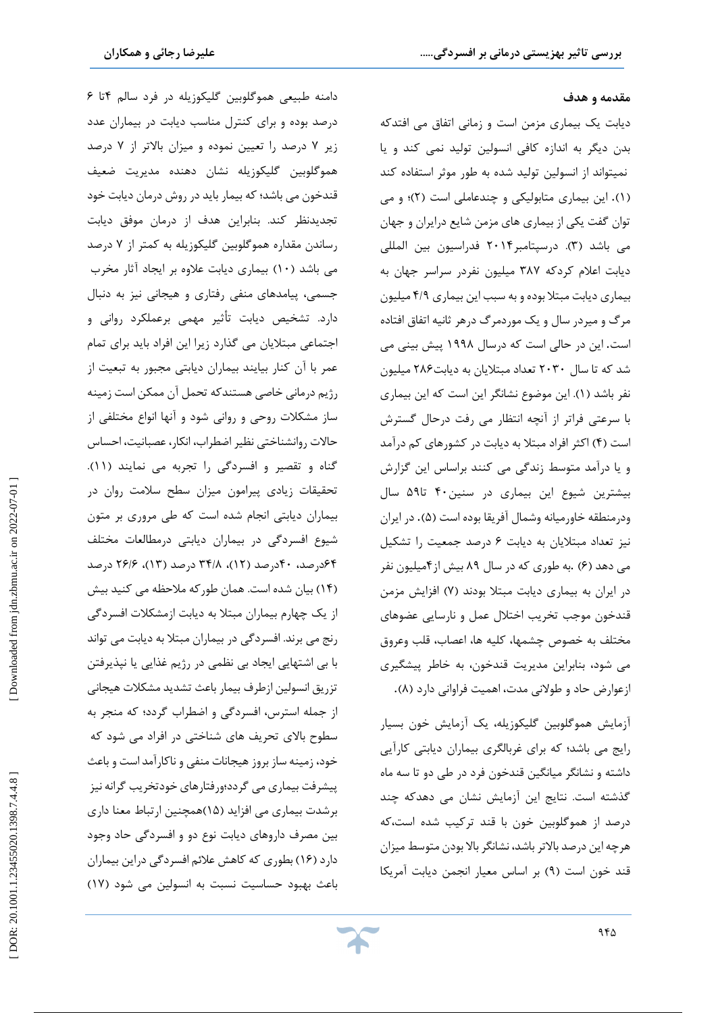#### **مقدمه و هدف**

j

دیابت یک بیماري مزمن است و زمانی اتفاق می افتدکه یا بدن دیگر به اندازه کافی انسولین تولید نمی کند و نمیتواند از انسولین تولید شده به طور موثر استفاده کند (۱). این بیماری متابولیکی و چندعاملی است (۲)؛ و می توان گفت یکی از بیماري هاي مزمن شایع درایران و جهان می باشد (۳). درسپتامبر۲۰۱۴ فدراسیون بین المللی دیابت اعلام کردکه 387 میلیون نفردر سراسر جهان به بیماري ديابت مبتلا بوده و به سبب اين بيماري ۴/۹ ميليون مرگ و میردر سال و یک موردمرگ درهر ثانیه اتفاق افتاده این در حالی است که درسال 1998 پیش بینی می است. شد که تا سال 2030 تعداد مبتلایان به دیابت286 میلیون نفر باشد (١). اين موضوع نشانگر اين است كه اين بيماري با سرعتی فراتر از آنچه انتظار می رفت درحال گسترش است (۴) اکثر افراد مبتلا به دیابت در کشورهای کم درآمد یا درآمد متوسط زندگی می کنند براساس این گزارش و بیشترین شیوع این بیماري در سنین40 تا59 سال ودرمنطقه خاورمیانه وشمال آفریقا بوده است (۵). در ایران نیز تعداد مبتلایان به دیابت ۶ درصد جمعیت را تشکیل می دهد (۶) .به طوری که در سال ۸۹ بیش از۴میلیون نفر در ایران به بیماری دیابت مبتلا بودند (۷) افزایش مزمن قندخون موجب تخریب اختلال عمل و نارسایی عضوهاي مختلف به خصوص چشمها، کلیه ها، اعصاب، قلب وعروق می شود، بنابراین مدیریت قندخون، به خاطر پیشگیري ازعوارض حاد و طولانی مدت، اهمیت فراوانی دارد (۸).

آزمایش هموگلوبین گلیکوزیله، یک آزمایش خون بسیار رايج مي باشد؛ که براي غربالگري بيماران ديابتي کارآيي داشته و نشانگر میانگین قندخون فرد در طی دو تا سه ماه گذشته است. نتایج این آزمایش نشان می دهدکه چند درصد از هموگلوبین خون با قند ترکیب شده است،که هرچه این درصد بالاتر باشد، نشانگربالا بودن متوسط میزان قند خون است (۹) بر اساس معیار انجمن دیابت آمریکا

دامنه طبیعی هموگلوبین گلیکوزیله در فرد سالم ۴تا ۶ درصد بوده و براي کنترل مناسب دیابت در بیماران عدد زیر ۷ درصد را تعیین نموده و میزان بالاتر از ۷ درصد هموگلوبین گلیکوزیله نشان دهنده مدیریت ضعیف قندخون می باشد؛ که بیمار باید در روش درمان دیابت خود تجدیدنظر کند. بنابراین هدف از درمان موفق دیابت درصد رساندن مقداره هموگلوبین گلیکوزیله به کمتر از 7 10) بیماري دیابت علاوه بر ایجاد آثار مخرب می باشد ( جسمی، پیامدهاي منفی رفتاري و هیجانی نیز به دنبال دارد. تشخیص دیابت تأثیر مهمی برعملکرد روانی و اجتماعی مبتلایان می گذارد زیرا این افراد باید براي تمام عمر با آن کنار بیایند بیماران دیابتی مجبور به تبعیت از رژیم درمانی خاصی هستندکه تحمل آن ممکن است زمینه ساز مشکلات روحی و روانی شود و آنها انواع مختلفی از حالات روانشناختی نظیر اضطراب، انکار، عصبانیت، احساس .(11 ) گناه و تقصیر و افسردگی را تجربه می نمایند تحقیقات زیادي پیرامون میزان سطح سلامت روان در بیماران دیابتی انجام شده است که طی مروري بر متون شیوع افسردگی در بیماران دیابتی درمطالعات مختلف ۶۴درصد، ۴۰درصد (۱۲)، ۳۴/۸ درصد (۱۳)، ۲۶/۶ درصد بیان شده است. همان طورکه ملاحظه می کنید بیش (14 ) از یک چهارم بیماران مبتلا به دیابت ازمشکلات افسردگی رنج می برند. افسردگی در بیماران مبتلا به دیابت می تواند با بی اشتهایی ایجاد بی نظمی در رژیم غذایی یا نپذیرفتن تزریق انسولین ازطرف بیمار باعث تشدید مشکلات هیجانی از جمله استرس، افسردگی و اضطراب گردد؛ که منجر به سطوح بالاي تحریف هاي شناختی در افراد می شود که خود، زمینه ساز بروز هیجانات منفی و ناکارآمد است و باعث پیشرفت بیماري می گردد؛ورفتارهاي خودتخریب گرانه نیز برشدت بیماري مي افزايد (١۵)همچنين ارتباط معنا داري بین مصرف داروهای دیابت نوع دو و افسردگی حاد وجود دارد (۱۶) بطوری که کاهش علائم افسردگی دراین بیماران (17 باعث بهبود حساسیت نسبت به انسولین می شود (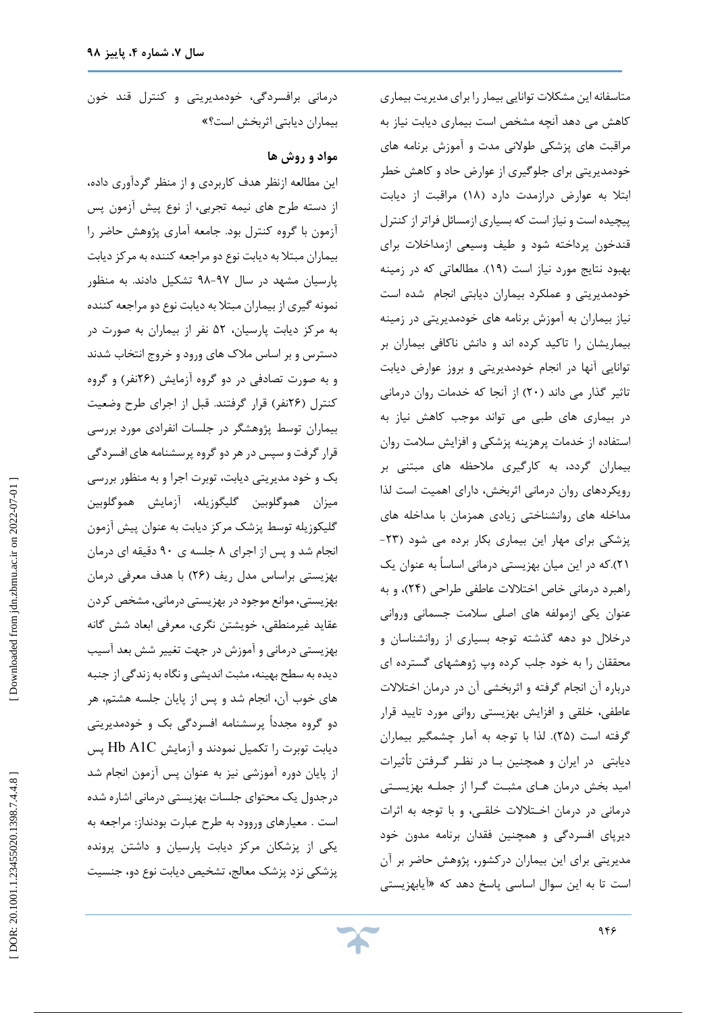متاسفانه این مشکلات توانایی بیمار را براي مدیریت بیماري کاهش می دهد آنچه مشخص است بیماري دیابت نیاز به مراقبت هاي پزشکی طولانی مدت و آموزش برنامه هاي خودمدیریتی برای جلوگیری از عوارض حاد و کاهش خطر ابتلا به عوارض درازمدت دارد (۱۸) مراقبت از دیابت پیچیده است و نیاز است که بسیاري ازمسائل فراتراز کنترل قندخون پرداخته شود و طیف وسیعی ازمداخلات براي بهبود نتایج مورد نیاز است (19). مطالعاتی که در زمینه خودمدیریتی و عملکرد بیماران دیابتی انجام شده است نیاز بیماران به آموزش برنامه هاي خودمدیریتی در زمینه بیماریشان را تاکید کرده اند و دانش ناکافی بیماران بر توانایی آنها در انجام خودمدیریتی و بروز عوارض دیابت تاثیر گذار می داند (۲۰) از آنجا که خدمات روان درمانی در بیماري هاي طبی می تواند موجب کاهش نیاز به استفاده از خدمات پرهزینه پزشکی و افزایش سلامت روان بیماران گردد، به کارگیري ملاحظه هاي مبتنی بر رویکردهاي روان درمانی اثربخش، داراي اهمیت است لذا مداخله های روانشناختی زیادی همزمان با مداخله های<br>پزشکی برای مهار این بیماری بکار برده می شود (۲۳-21).که در این میان بهزیستی درمانی اساساً به عنوان یک راهبرد درمانی خاص اختلالات عاطفی طراحی (۲۴)، و به عنوان یکی ازمولفه هاي اصلی سلامت جسمانی وروانی درخلال دو دهه گذشته توجه بسیاري از روانشناسان و محققان را به خود جلب کرده وپ ژوهشهاي گسترده اي درباره آن انجام گرفته و اثربخشی آن در درمان اختلالات عاطفی، خلقی و افزایش بهزیستی روانی مورد تایید قرار گرفته است (۲۵). لذا با توجه به آمار چشمگیر بیماران دیابتی در ایران و همچنین بـا در نظـر گـرفتن تأثیرات امید بخش درمان هـاي مثبـت گـرا از جملـه بهزیسـتی درمانی در درمان اخـتلالات خلقـی، و با توجه به اثرات دیرپاي افسردگی و همچنین فقدان برنامه مدون خود مدیریتی براي این بیماران درکشور، پژوهش حاضر بر آن آیابهزیستی است تا به این سوال اساسی پاسخ دهد که «

درمانی برافسردگی، خودمدیریتی و کنترل قند خون بیماران دیابتی اثربخش است؟»

## **مواد و روش ها**

این مطالعه ازنظر هدف کاربردي و از منظر گردآوري داده، از دسته طرح هاي نیمه تجربی، از نوع پیش آزمون پس آزمون با گروه کنترل بود. جامعه آماري پژوهش حاضر را بیماران مبتلا به دیابت نوع دو مراجعه کننده به مرکز دیابت پارسیان مشهد در سال ۹۷-۹۸ تشکیل دادند. به منظور نمونه گیري از بیماران مبتلا به دیابت نوع دو مراجعه کننده به مرکز دیابت پارسیان، 52 نفر از بیماران به صورت در دسترس و بر اساس ملاک های ورود و خروج انتخاب شدند و به صورت تصادفی در دو گروه آزمایش (۲۶نفر) و گروه کنترل (26نفر) قرار گرفتند. قبل از اجراي طرح وضعیت بیماران توسط پژوهشگر در جلسات انفرادي مورد بررسی قرارگرفت و سپس درهر دو گروه پرسشنامه هاي افسردگی بک و خود مدیریتی دیابت، توبرت اجرا و به منظور بررسی میزان هموگلوبین گلیگوزیله، آزمایش هموگلوبین گلیکوزیله توسط پزشک مرکز دیابت به عنوان پیش آزمون انجام شد و پس از اجرای ۸ جلسه ی ۹۰ دقیقه ای درمان بهزیستی براساس مدل ریف (۲۶) با هدف معرفی درمان بهزیستی،موانع موجود در بهزیستی درمانی, مشخص کردن عقاید غیرمنطقی، خویشتن نگري، معرفی ابعاد شش گانه بهزیستی درمانی و آموزش در جهت تغییر شش بعد آسیب دیده به سطح بهینه، مثبت اندیشی و نگاه به زندگی از جنبه هاي خوب آن، انجام شد و پس از پایان جلسه هشتم، هر دو گروه مجدداً پرسشنامه افسردگی بک و خودمدیریتی دیابت توبرت را تکمیل نمودند و آزمایش C1A Hb پس از پایان دوره آموزشی نیز به عنوان پس آزمون انجام شد درجدول یک محتواي جلسات بهزیستی درمانی اشاره شده است . معیارهاي وروود به طرح عبارت بودنداز: مراجعه به یکی از پزشکان مرکز دیابت پارسیان و داشتن پرونده پزشکی نزد پزشک معالج، تشخیص دیابت نوع دو، جنسیت

Downloaded from jdn.zbmu.ac.ir on 2022-07-01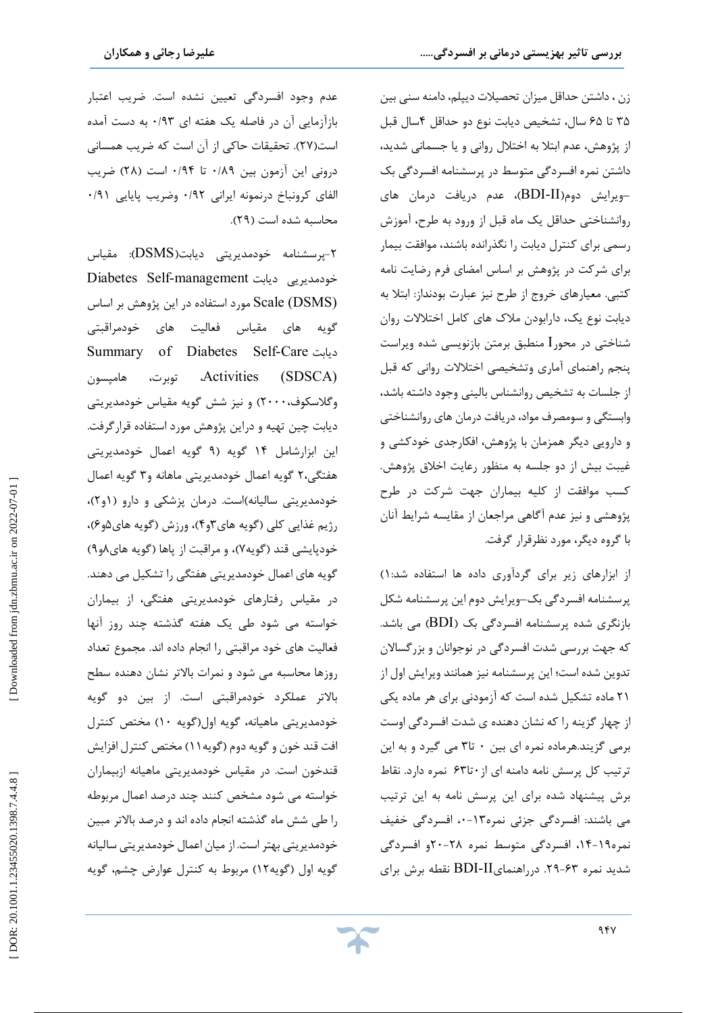j

زن ،داشتن حداقل میزان تحصیلات دیپلم،دامنه سنی بین ۳۵ تا ۶۵ سال، تشخیص دیابت نوع دو حداقل ۴سال قبل از پژوهش، عدم ابتلا به اختلال روانی و یا جسمانی شدید، داشتن نمره افسردگی متوسط در پرسشنامه افسردگی بک -ویرایش دوم(BDI-II)، عدم دریافت درمان های روانشناختی حداقل یک ماه قبل از ورود به طرح، آموزش رسمی براي کنترل دیابت را نگذرانده باشند، موافقت بیمار براي شرکت در پژوهش بر اساس امضاي فرم رضایت نامه کتبی. معیارهاي خروج از طرح نیز عبارت بودنداز: ابتلا به دیابت نوع یک، دارابودن ملاك هاي کامل اختلالات روان شناختی در محورI منطبق برمتن بازنویسی شده ویراست پنجم راهنماي آماري وتشخیصی اختلالات روانی که قبل از جلسات به تشخیص روانشناس بالینی وجود داشته باشد، وابستگی و سومصرف مواد،دریافت درمان هاي روانشناختی دارویی دیگر همزمان با پژوهش، افکارجدي خودکشی و و غیبت بیش از دو جلسه به منظور رعایت اخلاق پژوهش. کسب موافقت از کلیه بیماران جهت شرکت در طرح پژوهشی و نیز عدم آگاهی مراجعان از مقایسه شرایط آنان با گروه دیگر، مورد نظرقرار گرفت.

( از ابزارهاي زیر براي گردآوري داده ها استفاده شد1: پرسشنامه افسردگی بک–ویرایش دوم این پرسشنامه شکل بازنگری شده پرسشنامه افسردگی بک (BDI) می باشد. که جهت بررسی شدت افسردگی در نوجوانان و بزرگسالان تدوین شده است؛ این پرسشنامه نیز همانند ویرایش اول از 21 ماده تشکیل شده است که آزمودنی براي هر ماده یکی از چهار گزینه را که نشان دهنده ي شدت افسردگی اوست برمی گزیند.هرماده نمره ای بین ۰ تا۳ می گیرد و به این ترتیب کل پرسش نامه دامنه ای از ۶۳تا۶ نمره دارد. نقاط برش پیشنهاد شده براي این پرسش نامه به این ترتیب می باشند: افسردگی جزئی نمره۱۳-۰، افسردگی خفیف نمره۱۹-۱۴، افسردگی متوسط نمره ۲۸-۲۰و افسردگی شدید نمره ۶۳-۲۹. درراهنمایBDI-II نقطه برش برای

عدم وجود افسردگی تعیین نشده است. ضریب اعتبار بازآزمایی آن در فاصله یک هفته ای ۰/۹۳ به دست آمده است(27). تحقیقات حاکی از آن است که ضریب همسانی درونی این آزمون بین ۰/۸۹ تا ۰/۹۴ است (۲۸) ضریب الفای کرونباخ درنمونه ایرانی ۰/۹۲ وضریب پایایی ۰/۹۱ .(29 محاسبه شده است (

پرسشنامه خودمدیریتی دیابت(DSMS(: مقیاس - 2 Diabetes Self-management دیابت خودمدیریی (DSMS (Scale مورد استفاده در این پژوهش بر اساس گویه هاي مقیاس فعالیت هاي خودمراقبتی Summary of Diabetes Self-Care دیابت (SDSCA (Activities، توبرت، هامپسون وگلاسکوف،۲۰۰۰) و نیز شش گویه مقیاس خودمدیریتی دیابت چین تهیه و دراین پژوهش مورد استفاده قرارگرفت. این ابزارشامل ۱۴ گویه اعمال خودمدیریتی هفتگی،۲ گویه اعمال خودمدیریتی ماهانه و۳ گویه اعمال خودمدیریتی سالیانه)است. درمان پزشکی و دارو (۱و۲)، رژیم غذایی کلی (گویه های۳و۴)، ورزش (گویه های۵و۶)، خودپایشی قند (گویه۷)، و مراقبت از پاها (گویه های۸و۹) گویه هاي اعمال خودمدیریتی هفتگی را تشکیل می دهند. در مقیاس رفتارهاي خودمدیریتی هفتگی، از بیماران خواسته می شود طی یک هفته گذشته چند روز آنها فعالیت هاي خود مراقبتی را انجام داده اند. مجموع تعداد روزها محاسبه می شود و نمرات بالاتر نشان دهنده سطح بالاتر عملکرد خودمراقبتی است. از بین دو گویه خودمدیریتی ماهیانه، گویه اول(گویه ۱۰) مختص کنترل افت قند خون و گویه دوم (گویه۱۱) مختص کنترل افزایش قندخون است. در مقیاس خودمدیریتی ماهیانه ازبیماران خواسته می شود مشخص کنند چند درصد اعمال مربوطه را طی شش ماه گذشته انجام داده اند و درصد بالاتر مبین خودمدیریتی بهتر است. از میان اعمال خودمدیریتی سالیانه گویه اول (گویه۱۲) مربوط به کنترل عوارض چشم، گویه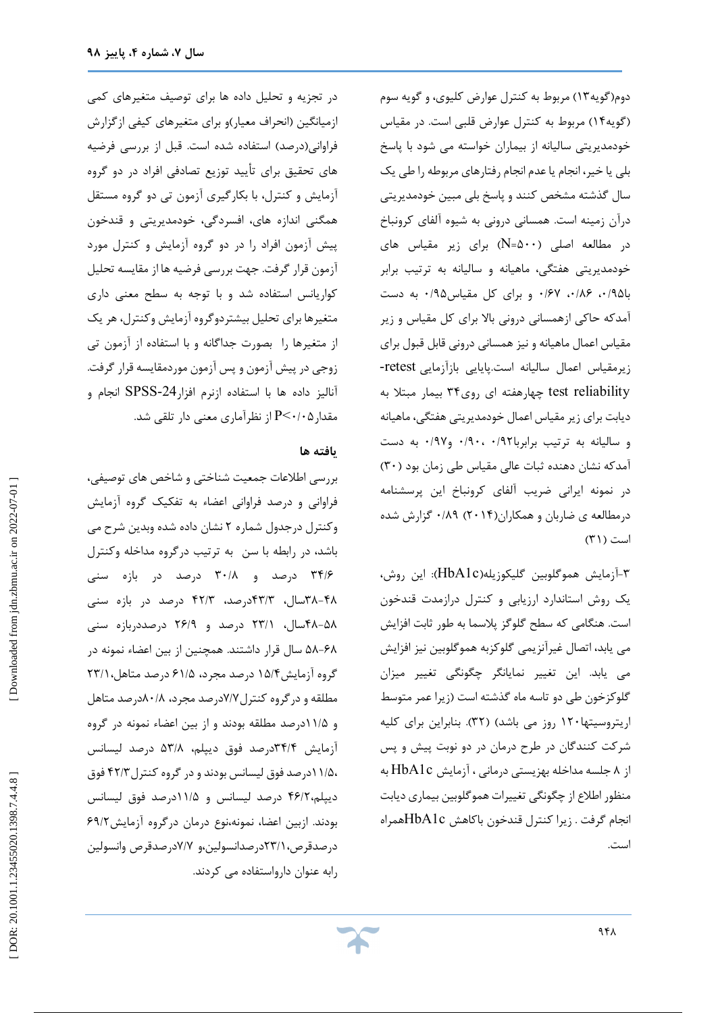دوم(گویه۱۲) مربوط به کنترل عوارض کلیوی، و گویه سوم مربوط به کنترل عوارض قلبی است. در مقیاس (گویه14) خودمدیریتی سالیانه از بیماران خواسته می شود با پاسخ بلی یا خیر، انجام یا عدم انجام رفتارهاي مربوطه را طی یک سال گذشته مشخص کنند و پاسخ بلی مبین خودمدیریتی درآن زمینه است. همسانی درونی به شیوه آلفاي کرونباخ براي زیر مقیاس هاي (N =500 در مطالعه اصلی ( خودمدیریتی هفتگی، ماهیانه و سالیانه به ترتیب برابر با۱۹۵ ، ۱۸۶، ۱۶۷ و برای کل مقیاس۱۹۵ به دست آمدکه حاکی ازهمسانی درونی بالا براي کل مقیاس و زیر مقیاس اعمال ماهیانه و نیز همسانی درونی قابل قبول برای<br>زیرمقیاس اعمال سالیانه است.پایایی بازآزمایی retestreliability test چهارهفته اي روي34 بیمار مبتلا به دیابت براي زیرمقیاس اعمال خودمدیریتی هفتگی، ماهیانه و سالیانه به ترتیب برابربا۹۲، ۰/۹۰، و۰/۹۷ به دست (30 آمدکه نشان دهنده ثبات عالی مقیاس طی زمان بود ( در نمونه ایرانی ضریب آلفاي کرونباخ این پرسشنامه درمطالعه ی ضاربان و همکاران(۲۰۱۴) ۰/۸۹ گزارش شده است (۳۱)

-3آزمایش هموگلوبین گلیکوزیله(c1HbA(: این روش، یک روش استاندارد ارزیابی و کنترل درازمدت قندخون است. هنگامی که سطح گلوگز پلاسما به طور ثابت افزایش می یابد، اتصال غیرآنزیمی گلوکزبه هموگلوبین نیز افزایش می یابد. این تغییر نمایانگر چگونگی تغییر میزان گلوکزخون طی دو تاسه ماه گذشته است (زیرا عمر متوسط اریتروسیتها۱۲۰ روز می باشد) (۳۲). بنابراین برای کلیه شرکت کنندگان در طرح درمان در دو نوبت پیش و پس از ۸ جلسه مداخله بهزیستی درمانی ، آزمایش HbA1c به منظور اطلاع از چگونگی تغییرات هموگلوبین بیماري دیابت انجام گرفت . زیرا کنترل قندخون باکاهش c1HbAهمراه است.

در تجزیه و تحلیل داده ها براي توصیف متغیرهاي کمی ازمیانگین (انحراف معیار)و براي متغیرهاي کیفی ازگزارش فراوانی(درصد) استفاده شده است. قبل از بررسی فرضیه هاي تحقیق براي تأیید توزیع تصادفی افراد در دو گروه آزمایش و کنترل، با بکارگیري آزمون تی دو گروه مستقل همگنی اندازه هاي، افسردگی، خودمدیریتی و قندخون پیش آزمون افراد را در دو گروه آزمایش و کنترل مورد آزمون قرار گرفت. جهت بررسی فرضیه ها از مقایسه تحلیل کواریانس استفاده شد و با توجه به سطح معنی داری متغیرها براي تحليل بيشتردوگروه آزمايش وكنترل، هر يک از متغیرها را بصورت جداگانه و با استفاده از آزمون تی زوجی در پیش آزمون و پس آزمون موردمقایسه قرار گرفت. SPSS انجام و آنالیز داده ها با استفاده ازنرم افزار-24 مقدار $\mathrm{P}{<} {\cdot}{\cdot}{\cdot}{\cdot}{\mathsf{d}}$  از نظرآماری معنی دار تلقی شد.

#### **یافته ها**

بررسی اطلاعات جمعیت شناختی و شاخص هاي توصیفی، فراوانی و درصد فراوانی اعضاء به تفکیک گروه آزمایش وکنترل درجدول شماره ۲ نشان داده شده وبدین شرح می باشد، در رابطه با سن به ترتیب درگروه مداخله وکنترل ۳۴/۶ درصد و ۳۰/۸ درصد در بازه سنی ۴۸–۳۸سال، ۴۲/۳درصد، ۴۲/۳ درصد در بازه سنی ۵۸-۴۸سال، ۲۳/۱ درصد و ۲۶/۹ درصددربازه سنی 58 سال قرار داشتند. همچنین از بین اعضاء نمونه در -68 گروه آزمایش۱۵/۴ درصد مجرد، ۶۱/۵ درصد متاهل،۲۳/۱ مطلقه و در گروه کنترل ۷/۷درصد مجرد، ۸۰/۸درصد متاهل و ۱۱/۵درصد مطلقه بودند و از بین اعضاء نمونه در گروه آزمایش ۳۴/۴درصد فوق دیپلم، ۵۳/۸ درصد لیسانس ۱۱/۵۰درصد فوق لیسانس بودند و در گروه کنترل ۴۲/۳ فوق دیپلم،۴۶/۲ درصد لیسانس و ۱۱/۵درصد فوق لیسانس 69 / بودند. ازبین اعضا، نمونه،نوع درمان درگروه آزمایش2 درصدقرص، ٢٣/١درصدانسولین،و ٧/٧درصدقرص وانسولین رابه عنوان دارواستفاده می کردند.

Downloaded from jdn.zbmu.ac.ir on 2022-07-01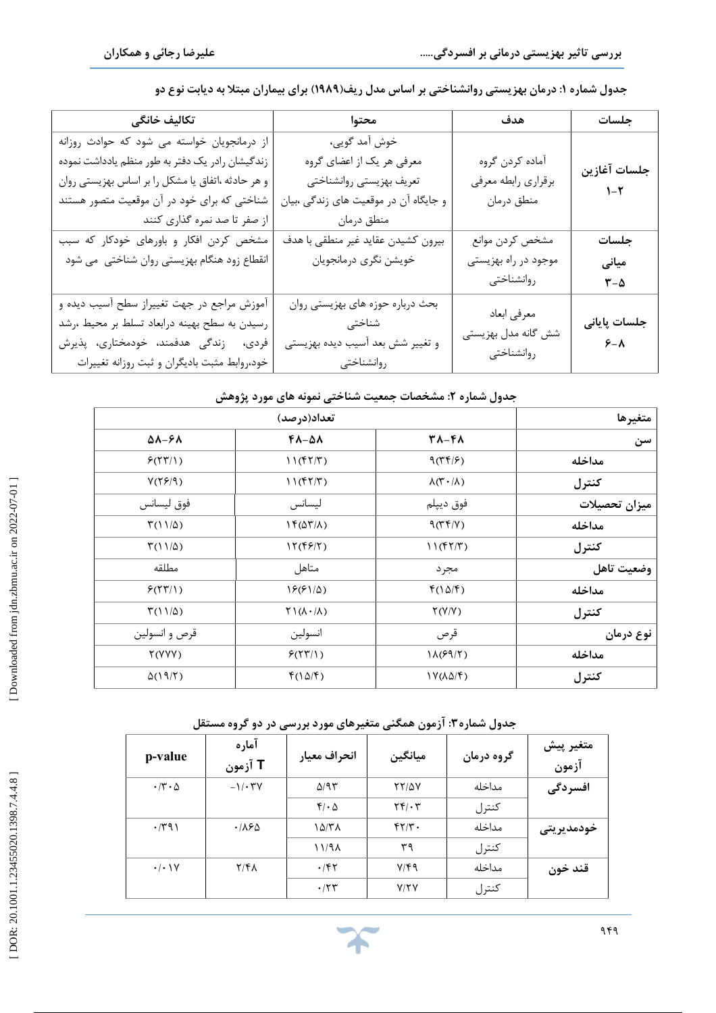j

| تكاليف خانگى                                                                                                                                                                                                                         | محتوا                                                                                                                         | هدف                                                  | جلسات                         |
|--------------------------------------------------------------------------------------------------------------------------------------------------------------------------------------------------------------------------------------|-------------------------------------------------------------------------------------------------------------------------------|------------------------------------------------------|-------------------------------|
| از درمانجویان خواسته می شود که حوادث روزانه<br>زندگیشان رادر یک دفتر به طور منظم یادداشت نموده<br>و هر حادثه ،اتفاق یا مشکل را بر اساس بهزیستی روان<br>شناختی که برای خود در آن موقعیت متصور هستند<br>  از صفر تا صد نمره گذاری کنند | خوش آمد گویی،<br>معرفی هر یک از اعضای گروه<br>تعريف بهزيستي روانشناختي<br>و جایگاه آن در موقعیت های زندگی ،بیان<br>منطق درمان | أماده كردن گروه<br>برقراري رابطه معرفي<br>منطق درمان | جلسات آغازين<br>$1 - 5$       |
| مشخص کردن افکار و باورهای خودکار که سبب<br>انقطاع زود هنگام بهزیستی روان شناختی  می شود                                                                                                                                              | بيرون كشيدن عقايد غير منطقى با هدف<br>خويشن نگرى درمانجويان                                                                   | مشخص كردن موانع<br>موجود در راه بهزیستی              | جلسات<br>میانی                |
|                                                                                                                                                                                                                                      |                                                                                                                               | روانشناختى                                           | $\mathbf{Y}-\mathbf{\Delta}$  |
| آموزش مراجع در جهت تغییراز سطح آسیب دیده و<br>رسیدن به سطح بهینه درابعاد تسلط بر محیط ،رشد<br>فردى، زندگى هدفمند، خودمختارى، پذيرش<br>خود،روابط مثبت باديگران و ثبت روزانه تغييرات                                                   | بحث درباره حوزه های بهزیستی روان<br>شناختی<br>و تغییر شش بعد آسیب دیده بهزیستی<br>روانشناختى                                  | معرفي ابعاد<br>شش گانه مدل بهزیستی<br>روانشناختى     | جلسات پایانی<br>$S - \Lambda$ |

**: درمان بهزیستی روانشناختی بر اساس مدل ریف(1989) براي بیماران مبتلا به دیابت نوع دو جدول شماره 1**

# **: مشخصات جمعیت شناختی نمونه هاي مورد پژوهش جدول شماره 2**

| متغيرها       | تعداد(درصد)                         |                                                       |                             |  |
|---------------|-------------------------------------|-------------------------------------------------------|-----------------------------|--|
| سن            | 31-41                               | 48-51                                                 | $\Delta \lambda - 5\lambda$ |  |
| مداخله        | 9(77/5)                             | 11(f7/T)                                              | P(YY Y)                     |  |
| كنترل         | $\lambda(\Upsilon \cdot / \lambda)$ | 11(f7/T)                                              | Y(Y5/9)                     |  |
| ميزان تحصيلات | فوق ديپلم                           | ليسانس                                                | فوق ليسانس                  |  |
| مداخله        | 9(75/1)                             | $\Gamma(\Delta \Upsilon/\Lambda)$                     | $\Gamma(11/\Delta)$         |  |
| كنترل         | 11(fY/T)                            | $\mathcal{N}(\mathfrak{f}\mathfrak{F}/\mathfrak{r})$  | $\Gamma(11/\Delta)$         |  |
| وضعيت تاهل    | مجر د                               | متاهل                                                 | مطلقه                       |  |
| مداخله        | $f(\Delta/\mathfrak{F})$            | $19(91/\Delta)$                                       | P(YY Y)                     |  |
| كنترل         | Y(Y/Y)                              | $\uparrow$ $\uparrow$ $(\upLambda \cdot / \upLambda)$ | $\Gamma(11/\Delta)$         |  |
| نوع درمان     | قرص                                 | انسولين                                               | قرص و انسولين               |  |
| مداخله        | $1\Lambda$ (۶۹/۲)                   | P(YY Y)                                               | Y(YYY)                      |  |
| كنترل         | $\frac{1}{\sqrt{2}}$                | $f(\Delta/\mathfrak{F})$                              | $\Delta(19/7)$              |  |

**: آزمون همگنی متغیرهاي مورد بررسی در دو گروه مستقل جدول شماره3**

| p-value                     | آماره<br>T آزمون | انحراف معيار     | ميانگين                                    | گروه درمان | متغير پيش<br>آزمون |
|-----------------------------|------------------|------------------|--------------------------------------------|------------|--------------------|
| $\cdot$ /۳ $\cdot$ $\Delta$ | $-1/\cdot 7V$    | $\Delta$ /95     | <b>TY/0V</b>                               | مداخله     | افسردگی            |
|                             |                  | $f/\cdot \Delta$ | $\mathbf{Y} \mathbf{F} / \cdot \mathbf{Y}$ | كنترل      |                    |
| $\cdot$ /۳۹۱                | .188             | ۱۵/۳۸            | $f\gamma/\gamma$ .                         | مداخله     | خودمديريتى         |
|                             |                  | 11/91            | ٣٩                                         | كنترل      |                    |
| $\cdot/\cdot$ \Y            | $Y/F\Lambda$     | $\cdot$ /۴۲      | $Y/\mathfrak{f}\mathfrak{q}$               | مداخله     | قند خون            |
|                             |                  | $\cdot$ /۲۳      | Y/Y                                        | كنترل      |                    |

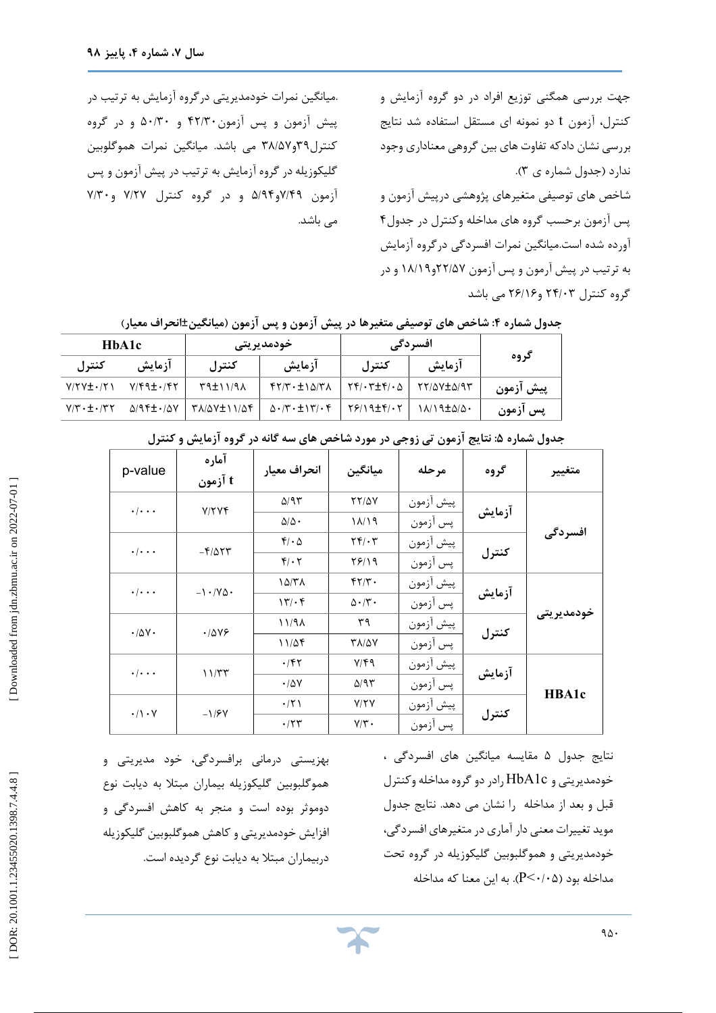جهت بررسی همگنی توزیع افراد در دو گروه آزمایش و کنترل، آزمون t دو نمونه اي مستقل استفاده شد نتایج بررسی نشان دادکه تفاوت هاي بین گروهی معناداري وجود .( ندارد (جدول شماره ي 3 شاخص های توصیفی متغیرهای پژوهشی درپیش آزمون و<br>پس آزمون برحسب گروه های مداخله وکنترل در جدول۴ آورده شده است.میانگین نمرات افسردگی درگروه آزمایش به ترتیب در پیش آرمون و پس آزمون ۲۲/۵۷و۱۸/۱۹ و در گروه کنترل ۲۴/۰۳ و۲۶/۱۶ می باشد

.میانگین نمرات خودمدیریتی درگروه آزمایش به ترتیب در پیش آزمون و پس آزمون۱۳۰۳ و ۵۰/۳۰ و در گروه 38 می باشد. میانگین نمرات هموگلوبین /57 کنترل39و گلیکوزیله در گروه آزمایش به ترتیب در پیش آزمون و پس آزمون ۷/۴۹و۵/۹۴ و در گروه کنترل ۷/۲۷ و۷/۳۰ می باشد.

|           | افسردگی                      |                                                                             | خودمديريتى                                                              |                | HbA1c                                          |                            |
|-----------|------------------------------|-----------------------------------------------------------------------------|-------------------------------------------------------------------------|----------------|------------------------------------------------|----------------------------|
| گروه      | آزمایش                       | كنترل                                                                       | آزمایش                                                                  | كنترل          | آزمایش                                         | کنترل                      |
| پیش ازمون | TY/QV±Q/9T                   | $\mid \uparrow \uparrow / \cdot \uparrow \pm \uparrow / \cdot \vartriangle$ | $f\{Y/\Gamma\cdot\pm1\ \omega/\Gamma\Lambda\}$                          | $N(1/1 + r^2)$ | $Y/\mathfrak{f} \mathfrak{q} \pm \mathfrak{f}$ | $Y/YY \pm YY$              |
| پس آزمون  | 1 A/ 1 9 ± $\Delta/\Delta$ . | 7819±41.7                                                                   | $\Delta \cdot   \mathbf{Y} \cdot \pm   \mathbf{Y}   \cdot \mathbf{Y}  $ | ۳۸/۵۷±۱۱/۵۴    | $\Delta$ /94 $\pm$ $\cdot$ / $\Delta$ $V$      | $Y/T \cdot \pm \cdot / 77$ |
|           |                              |                                                                             |                                                                         |                |                                                |                            |

| جدول شماره ۴: شاخص های توصیفی متغیرها در پیش آزمون و پس آزمون (میانگین±انحراف معیار) |  |  |
|--------------------------------------------------------------------------------------|--|--|
|                                                                                      |  |  |

| متغيير     | گروه   | مرحله     | ميانگين                              | انحراف معيار                    | آماره<br>t آزمون              | p-value                        |
|------------|--------|-----------|--------------------------------------|---------------------------------|-------------------------------|--------------------------------|
|            | آزمايش | پيش آزمون | <b>TT/QV</b>                         | $\Delta$ /95                    | V/YYf                         | $\cdot/\cdot\cdot\cdot$        |
|            |        | پس أزمون  | ۱۸/۱۹                                | $\Delta/\Delta$ .               |                               |                                |
| افسر دگی   |        | پيش آزمون | $\mathbf{Y} \mathbf{Y} / \mathbf{Y}$ | $f/\cdot \Delta$                | $-F/\Delta \Upsilon \Upsilon$ | $\cdot \mid \cdot \cdot \cdot$ |
|            | كنترل  | پس آزمون  | 7819                                 | $f/\cdot 7$                     |                               |                                |
|            |        | پيش آزمون | $f\gamma/\gamma$ .                   | $1\Delta/T$                     | $-1.70$                       | $\cdot \mid \cdot \cdot \cdot$ |
| خودمديريتي | آزمايش | پس آزمون  | $\Delta \cdot / \tilde{r}$ .         | $\mathcal{N}/\cdot \mathcal{F}$ |                               |                                |
|            |        | پيش آزمون | ٣٩                                   | 11/9                            | .7849                         | $\cdot/\Delta V \cdot$         |
|            | كنترل  | پس آزمون  | <b>TA/QV</b>                         | 11/25                           |                               |                                |
|            |        | پيش آزمون | $Y/\xi$                              | $\cdot$ /۴۲                     | 11/TT                         | $\cdot \mid \cdot \cdot \cdot$ |
| HBA1c      | آزمايش | پس آزمون  | $\Delta$ /95                         | $\cdot$ /57                     |                               |                                |
|            |        | پيش أزمون | Y/YY                                 | $\cdot$ /٢١                     | $-1/5V$                       | $\cdot/\rangle \cdot \gamma$   |
|            | كنترل  | پس آزمون  | $Y/\tau$ .                           | $\cdot$ /۲۳                     |                               |                                |

**: نتایج آزمون تی زوجی در مورد شاخص هاي سه گانه در گروه آزمایش و کنترل جدول شماره 5**

نتايج جدول ۵ مقايسه ميانگين های افسردگی ، خودمدیریتی و c1HbA رادر دو گروه مداخله وکنترل قبل و بعد از مداخله را نشان می دهد. نتایج جدول موید تغییرات معنی دار آماري در متغیرهاي افسردگی، خودمدیریتی و هموگلبوبین گلیکوزیله در گروه تحت ). به این معنا که مداخله P < 0 /05 مداخله بود (

 بهزیستی درمانی برافسردگی، خود مدیریتی و دوموثر بوده است و منجر به کاهش افسردگی و افزایش خودمدیریتی و کاهش هموگلبوبین گلیکوزیله هموگلبوبین گلیکوزیله بیماران مبتلا به دیابت نوع دربیماران مبتلا به دیابت نوع گردیده است.

Downloaded from jdn.zbmu.ac.ir on 2022-07-01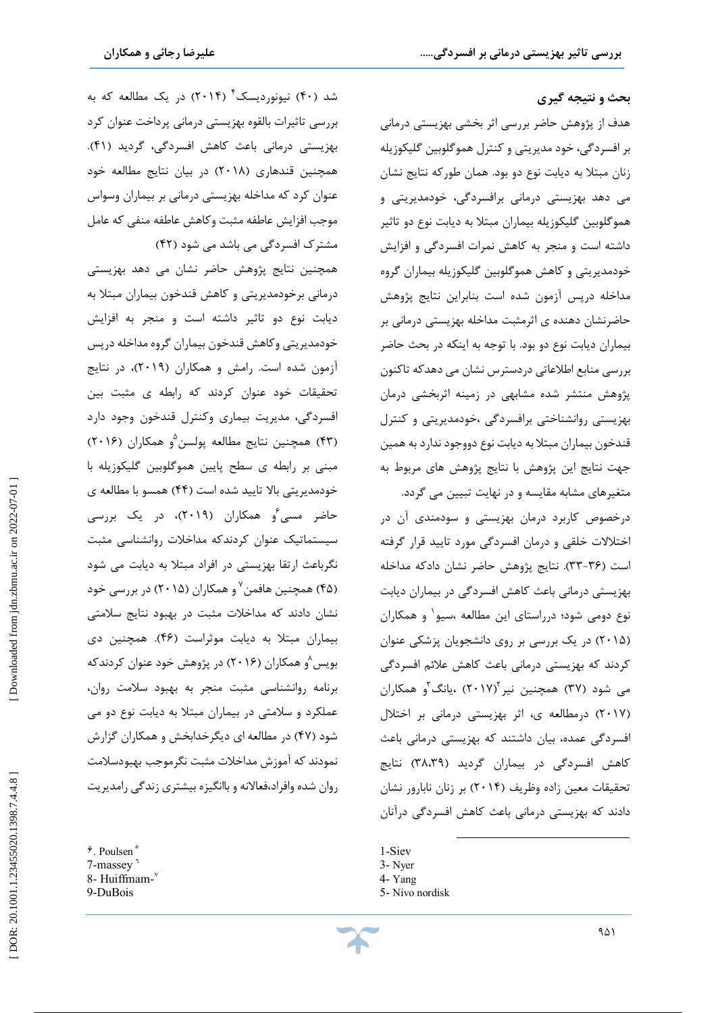شد (۴۰) نیونوردیسک ٔ (۲۰۱۴) در یک مطالعه که به

بررسی تاثیرات بالقوه بهزیستی درمانی پرداخت عنوان کرد

.(41 بهزیستی درمانی باعث کاهش افسردگی، گردید (

همچنین قندهاری (۲۰۱۸) در بیان نتایج مطالعه خود عنوان کرد که مداخله بهزیستی درمانی بر بیماران وسواس

موجب افزایش عاطفه مثبت وکاهش عاطفه منفی که عامل

همچنین نتایج پژوهش حاضر نشان می دهد بهزیستی

درمانی برخودمدیریتی و کاهش قندخون بیماران مبتلا به دیابت نوع دو تاثیر داشته است و منجر به افزایش

خودمدیریتی وکاهش قندخون بیماران گروه مداخله درپس

آزمون شده است. رامش و همکاران (2019)، در نتایج

تحقیقات خود عنوان کردند که رابطه ی مثبت بین افسردگی، مدیریت بیماري وکنترل قندخون وجود دارد

43) همچنین نتایج مطالعه پولسن ) 5 (2016 و همکاران (

مبنی بر رابطه ي سطح پایین هموگلوبین گلیکوزیله با

خودمدیریتی بالا تایید شده است (۴۴) همسو با مطالعه ی حاضر مسی ُو همکاران (۲۰۱۹)، در یک بررسی

سیستماتیک عنوان کردندکه مداخلات روانشناسی مثبت

نگرباعث ارتقا بهزیستی در افراد مبتلا به دیابت می شود

(۴۵) همچنین هافمن<sup>۷</sup> و همکاران (۲۰۱۵) در بررسی خود

نشان دادند که مداخلات مثبت در بهبود نتایج سلامتی

بیماران مبتلا به دیابت موثراست (۴۶). همچنین دی بویس <sup>۵</sup>و همکاران (۲۰۱۶) در پژوهش خود عنوان کردندکه

برنامه روانشناسی مثبت منجر به بهبود سلامت روان،

عملکرد و سلامتی در بیماران مبتلا به دیابت نوع دو می

47) در مطالعه اي دیگرخدابخش و همکاران گزارش شود ( نمودند که آموزش مداخلات مثبت نگرموجب بهبودسلامت

روان شده وافراد،فعالانه و باانگیزه بیشتری زندگی رامدیریت<br>۴. Poulsen °

(42 مشترك افسردگی می باشد می شود (

#### **بحث و نتیجه گیري**

j

هدف از پژوهش حاضر بررسی اثر بخشی بهزیستی درمانی بر افسردگی، خود مدیریتی و کنترل هموگلوبین گلیکوزیله زنان مبتلا به دیابت نوع دو بود. همان طورکه نتایج نشان می دهد بهزیستی درمانی برافسردگی، خودمدیریتی و هموگلوبین گلیکوزیله بیماران مبتلا به دیابت نوع دو تاثیر داشته است و منجر به کاهش نمرات افسردگی و افزایش خودمدیریتی و کاهش هموگلوبین گلیکوزیله بیماران گروه مداخله درپس آزمون شده است بنابراین نتایج پژوهش حاضرنشان دهنده ی اثرمثبت مداخله بهزیستی درمانی بر<br>بیماران دیابت نوع دو بود. با توجه به اینکه در بحث حاضر بررسی منابع اطلاعاتی دردسترس نشان می دهدکه تاکنون پژوهش منتشر شده مشابهی در زمینه اثربخشی درمان بهزیستی روانشناختی برافسردگی ،خودمدیریتی و کنترل قندخون بیماران مبتلا به دیابت نوع دووجود ندارد به همین جهت نتایج این پژوهش با نتایج پژوهش هاي مربوط به متغیرهاي مشابه مقایسه و در نهایت تبیین می گردد.

درخصوص کاربرد درمان بهزیستی و سودمندي آن در اختلالات خلقی و درمان افسردگی مورد تایید قرار گرفته است (۳۶–۳۳). نتایج پژوهش حاضر نشان دادکه مداخله بهزیستی درمانی باعث کاهش افسردگی در بیماران دیابت نوع دومی شود؛ درراستاي این مطالعه ،سیو و همکاران <sup>1</sup> در یک بررسی بر روي دانشجویان پزشکی عنوان (2015 ) کردند که بهزیستی درمانی باعث کاهش علائم افسردگی می شود (۳۷) همچنین نیر<sup>۱</sup>(۲۰۱۷) ،یانگ<sup>۳</sup>و همکاران (۲۰۱۷) درمطالعه ی، اثر بهزیستی درمانی بر اختلال افسردگی عمده، بیان داشتند که بهزیستی درمانی باعث کاهش افسردگی در بیماران گردید (۳۸،۳۹) نتایج تحقیقات معین زاده وظریف (۲۰۱۴) بر زنان نابارور نشان دادند که بهزیستی درمانی باعث کاهش افسردگی درآنان

 $\overline{a}$ 

7-massey<sup>1</sup> 8- Huiffmam-9 -DuBois

<sup>1</sup> -Siev

<sup>3</sup> - Nyer

<sup>4</sup> - Yang

<sup>5</sup> - Nivo nordisk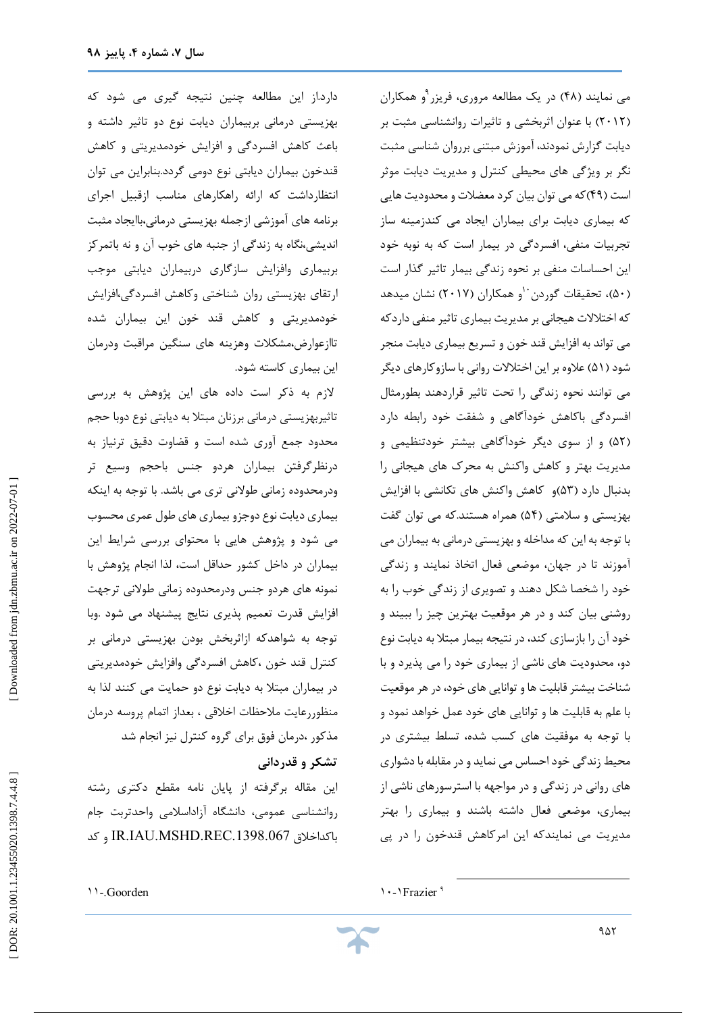دارد.از این مطالعه چنین نتیجه گیري می شود که بهزیستی درمانی بربیماران دیابت نوع دو تاثیر داشته و باعث کاهش افسردگی و افزایش خودمدیریتی و کاهش قندخون بیماران دیابتی نوع دومی گردد.بنابراین می توان انتظارداشت که ارائه راهکارهاي مناسب ازقبیل اجراي برنامه هاي آموزشی ازجمله بهزیستی درمانی،باایجاد مثبت اندیشی،نگاه به زندگی از جنبه هاي خوب آن و نه باتمرکز بربیماري وافزایش سازگاري دربیماران دیابتی موجب ارتقاي بهزیستی روان شناختی وکاهش افسردگی،افزایش خودمدیریتی و کاهش قند خون این بیماران شده تاازعوارض،مشکلات وهزینه هاي سنگین مراقبت ودرمان این بیماري کاسته شود.

لازم به ذکر است داده هاي این پژوهش به بررسی تاثیربهزیستی درمانی برزنان مبتلا به دیابتی نوع دوبا حجم محدود جمع آوري شده است و قضاوت دقیق ترنیاز به درنظرگرفتن بیماران هردو جنس باحجم وسیع تر ودرمحدوده زمانی طولانی تري می باشد. با توجه به اینکه بیماري دیابت نوع دوجزو بیماري هاي طول عمري محسوب می شود و پژوهش هایی با محتواي بررسی شرایط این بیماران در داخل کشور حداقل است، لذا انجام پژوهش با نمونه های هردو جنس ودرمحدوده زمانی طولانی ترجهت افزایش قدرت تعمیم پذیری نتایج پیشنهاد می شود .وبا توجه به شواهدکه ازاثربخش بودن بهزیستی درمانی بر کنترل قند خون ،کاهش افسردگی وافزایش خودمدیریتی در بیماران مبتلا به دیابت نوع دو حمایت می کنند لذا به منظوررعایت ملاحظات اخلاقی ، بعداز اتمام پروسه درمان مذکور ،درمان فوق براي گروه کنترل نیز انجام شد

#### **تشکر و قدردانی**

این مقاله برگرفته از پایان نامه مقطع دکتري رشته روانشناسی عمومی، دانشگاه آزاداسلامی واحدتربت جام کد و IR.IAU.MSHD.REC.1398.067 باکداخلاق می نمایند (۴۸) در یک مطالعه مروری، فریزر <sup>۹</sup>و همکاران 2012) با عنوان اثربخشی و تاثیرات روانشناسی مثبت بر ) دیابت گزارش نمودند، آموزش مبتنی برروان شناسی مثبت نگر بر ویژگی هاي محیطی کنترل و مدیریت دیابت موثر است (۴۹)که می توان بیان کرد معضلات و محدودیت هایی که بیماري دیابت براي بیماران ایجاد می کندزمینه ساز تجربیات منفی، افسردگی در بیمار است که به نوبه خود این احساسات منفی بر نحوه زندگی بیمار تاثیر گذار است 50)، تحقیقات گوردن ) و همکاران (2017) نشان میدهد <sup>10</sup> که اختلالات هیجانی بر مدیریت بیماري تاثیر منفی داردکه می تواند به افزایش قند خون و تسریع بیماري دیابت منجر شود (۵۱) علاوه بر این اختلالات روانی با سازوکارهای دیگر می توانند نحوه زندگی را تحت تاثیر قراردهند بطورمثال افسردگی باکاهش خودآگاهی و شفقت خود رابطه دارد (۵۲) و از سوی دیگر خودآگاهی بیشتر خودتنظیمی و مدیریت بهتر و کاهش واکنش به محرك هاي هیجانی را بدنبال دارد (۵۳)و کاهش واکنش های تکانشی با افزایش بهزیستی و سلامتی (۵۴) همراه هستند.که می توان گفت با توجه به این که مداخله و بهزیستی درمانی به بیماران می آموزند تا در جهان، موضعی فعال اتخاذ نمایند و زندگی خود را شخصا شکل دهند و تصویری از زندگی خوب را به روشنی بیان کند و در هر موقعیت بهترین چیز را ببیند و خود آن را بازسازي كند، در نتيجه بيمار مبتلا به ديابت نوع دو، محدودیت های ناشی از بیماری خود را می پذیرد و با شناخت بیشترقابلیت ها و توانایی هاي خود، درهرموقعیت با علم به قابلیت ها و توانایی های خود عمل خواهد نمود و با توجه به موفقیت هاي کسب شده، تسلط بیشتري در محیط زندگی خوداحساس می نماید و در مقابله با دشواري هاي روانی در زندگی و در مواجهه با استرسورهاي ناشی از بیماری، موضعی فعال داشته باشند و بیماری را بهتر مدیریت می نمایندکه این امرکاهش قندخون را در پی

٩ ١٠ - ١Frazier

 $\overline{a}$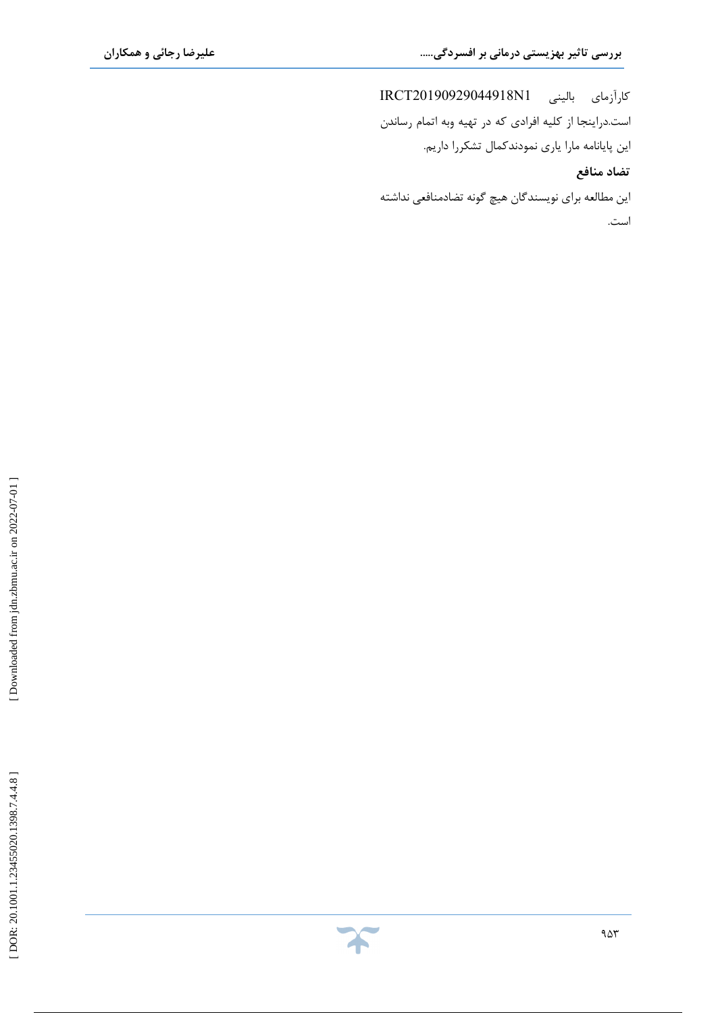j

کارآزماي بالینی 1N20190929044918IRCT است.دراینجا از کلیه افرادي که در تهیه وبه اتمام رساندن این پایانامه مارا یاري نمودندکمال تشکررا داریم. **تضاد منافع**

این مطالعه براي نویسندگان هیچ گونه تضادمنافعی نداشته است.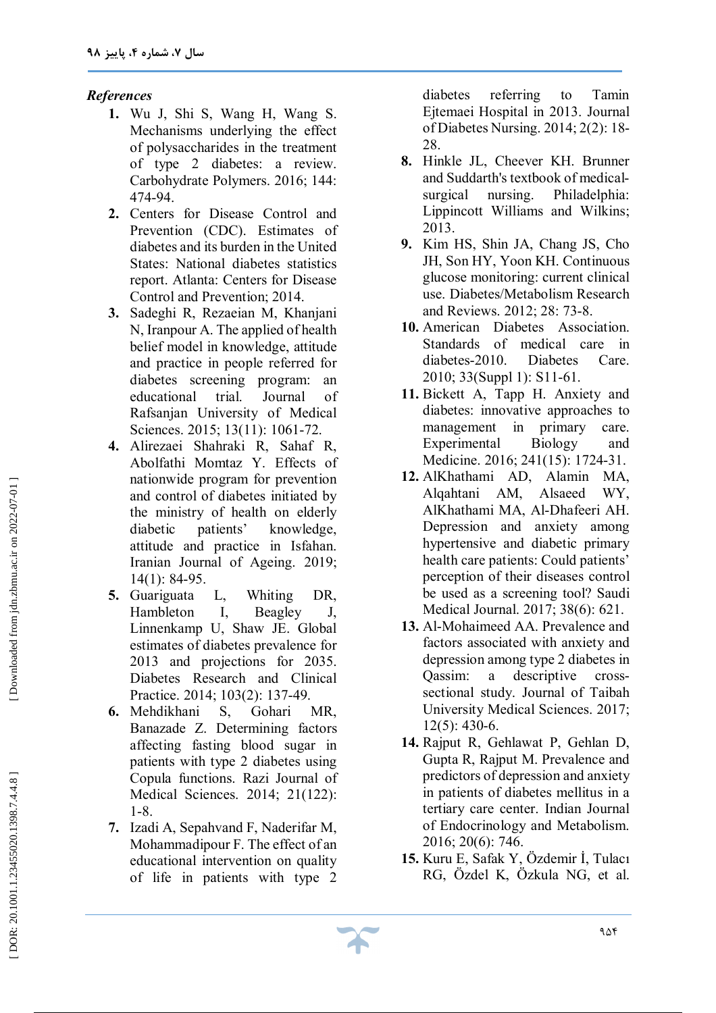### *References*

- **1.** Wu J, Shi S, Wang H, Wang S. Mechanisms underlying the effect of polysaccharides in the treatment of type 2 diabetes: a review. Carbohydrate Polymers. 2016; 144: 474 -94.
- **2 .** Centers for Disease Control and Prevention (CDC). Estimates of diabetes and its burden in the United States: National diabetes statistics report. Atlanta: Centers for Disease Control and Prevention; 2014.
- **3 .** Sadeghi R, Rezaeian M, Khanjani N, Iranpour A. The applied of health belief model in knowledge, attitude and practice in people referred for diabetes screening program: an educational trial. Journal of Rafsanjan University of Medical Sciences. 2015; 13(11): 1061-72.
- **4 .** Alirezaei Shahraki R, Sahaf R, Abolfathi Momtaz Y. Effects of nationwide program for prevention and control of diabetes initiated by the ministry of health on elderly diabetic patients' knowledge, attitude and practice in Isfahan. Iranian Journal of Ageing. 2019; 14(1): 84 -95.
- **5 .** Guariguata L, Whiting DR, Hambleton I, Beagley J, Linnenkamp U, Shaw JE. Global estimates of diabetes prevalence for 2013 and projections for 2035. Diabetes Research and Clinical Practice. 2014; 103(2): 137 -49.
- **6 .** Mehdikhani S, Gohari MR, Banazade Z. Determining factors affecting fasting blood sugar in patients with type 2 diabetes using Copula functions. Razi Journal of Medical Sciences. 2014; 21(122): 1-8.
- **7 .** Izadi A, Sepahvand F, Naderifar M, Mohammadipour F. The effect of an educational intervention on quality of life in patients with type 2

diabetes referring to Tamin Ejtemaei Hospital in 2013. Journal of Diabetes Nursing. 2014; 2(2): 18 - 28.

- **8 .** Hinkle JL, Cheever KH. Brunner and Suddarth's textbook of medical surgical nursing. Philadelphia: Lippincott Williams and Wilkins; 2013.
- **9 .** Kim HS, Shin JA, Chang JS, Cho JH, Son HY, Yoon KH. Continuous glucose monitoring: current clinical use. Diabetes/Metabolism Research and Reviews. 2012; 28: 73 -8.
- **10 .** American Diabetes Association. Standards of medical care in diabetes-2010. Diabetes Care. 2010; 33(Suppl 1): S11 -61.
- **11 .** Bickett A, Tapp H. Anxiety and diabetes: innovative approaches to management in primary care. Experimental Biology and Medicine. 2016; 241(15): 1724-31.
- **12 .** AlKhathami AD, Alamin MA, Alqahtani AM, Alsaeed WY, AlKhathami MA, Al -Dhafeeri AH. Depression and anxiety among hypertensive and diabetic primary health care patients: Could patients' perception of their diseases control be used as a screening tool? Saudi Medical Journal. 2017; 38(6): 621.
- **13 .** Al -Mohaimeed AA. Prevalence and factors associated with anxiety and depression among type 2 diabetes in Qassim: a descriptive crosssectional study. Journal of Taibah University Medical Sciences. 2017; 12(5): 430 -6.
- **14 .** Rajput R, Gehlawat P, Gehlan D, Gupta R, Rajput M. Prevalence and predictors of depression and anxiety in patients of diabetes mellitus in a tertiary care center. Indian Journal of Endocrinology and Metabolism. 2016; 20(6): 746.
- **15 .** Kuru E, Safak Y, Özdemir İ, Tulacı RG, Özdel K, Özkula NG, et al.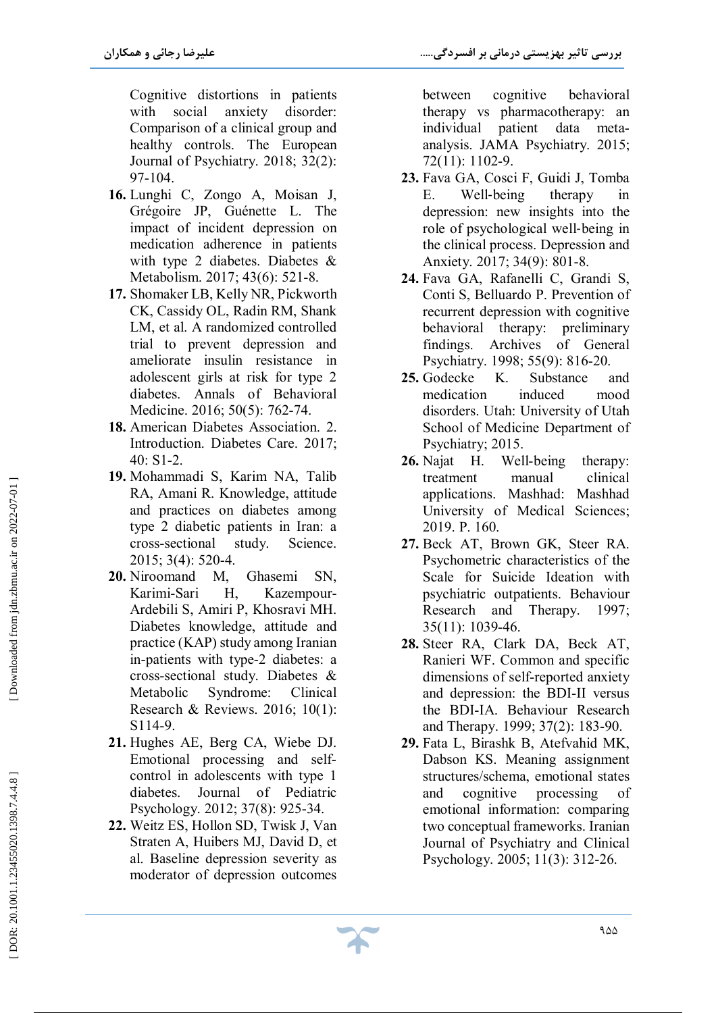**بررسی تاثیر بهزیستی درمانی بر افسردگی..... علیرضا رجائی و همکاران** 

Cognitive distortions in patients with social anxiety disorder: Comparison of a clinical group and healthy controls. The European Journal of Psychiatry. 2018; 32(2): 97 -104.

- **16 .** Lunghi C, Zongo A, Moisan J, Grégoire JP, Guénette L. The impact of incident depression on medication adherence in patients with type 2 diabetes. Diabetes & Metabolism. 2017; 43(6): 521 -8.
- **17 .** Shomaker LB, Kelly NR, Pickworth CK, Cassidy OL, Radin RM, Shank LM, et al. A randomized controlled trial to prevent depression and ameliorate insulin resistance in adolescent girls at risk for type 2 diabetes. Annals of Behavioral Medicine. 2016; 50(5): 762 -74.
- **18 .** American Diabetes Association. 2. Introduction. Diabetes Care. 2017; 40: S1 -2.
- **19 .** Mohammadi S, Karim NA, Talib RA, Amani R. Knowledge, attitude and practices on diabetes among type 2 diabetic patients in Iran: a cross -sectional study. Science. 2015; 3(4): 520 -4.
- **20 .** Niroomand M, Ghasemi SN, Karimi -Sari H, Kazempour - Ardebili S, Amiri P, Khosravi MH. Diabetes knowledge, attitude and practice (KAP) study among Iranian in -patients with type -2 diabetes: a cross -sectional study. Diabetes & Metabolic Syndrome: Clinical Research & Reviews. 2016; 10(1): S114 -9.
- **21 .** Hughes AE, Berg CA, Wiebe DJ. Emotional processing and selfcontrol in adolescents with type 1 diabetes. Journal of Pediatric Psychology. 2012; 37(8): 925 -34.
- **22 .** Weitz ES, Hollon SD, Twisk J, Van Straten A, Huibers MJ, David D, et al. Baseline depression severity as moderator of depression outcomes

between cognitive behavioral therapy vs pharmacotherapy: an individual patient data meta analysis. JAMA Psychiatry. 2015; 72(11): 1102 -9.

j

- **23 .** Fava GA, Cosci F, Guidi J, Tomba E. Well therapy in depression: new insights into the role of psychological well ‐being in the clinical process. Depression and Anxiety. 2017; 34(9): 801 -8.
- **24 .** Fava GA, Rafanelli C, Grandi S, Conti S, Belluardo P. Prevention of recurrent depression with cognitive behavioral therapy: preliminary findings. Archives of General Psychiatry. 1998; 55(9): 816 -20.
- 25. Godecke K. Substance and medication induced mood disorders. Utah: University of Utah School of Medicine Department of Psychiatry; 2015.
- **26 .** Najat H. Well Well-being therapy: treatment manual clinical applications. Mashhad: Mashhad University of Medical Sciences; 2019. P. 160.
- **27 .** Beck AT, Brown GK, Steer RA. Psychometric characteristics of the Scale for Suicide Ideation with psychiatric outpatients. Behaviour Research and Therapy. 1997; 35(11): 1039 -46.
- **28 .** Steer RA, Clark DA, Beck AT, Ranieri WF. Common and specific dimensions of self-reported anxiety and depression: the BDI -II versus the BDI -IA. Behaviour Research and Therapy. 1999; 37(2): 183 -90.
- **29 .** Fata L, Birashk B, Atefvahid MK, Dabson KS. Meaning assignment structures/schema, emotional states and cognitive processing of emotional information: comparing two conceptual frameworks. Iranian Journal of Psychiatry and Clinical Psychology. 2005; 11(3): 312 -26.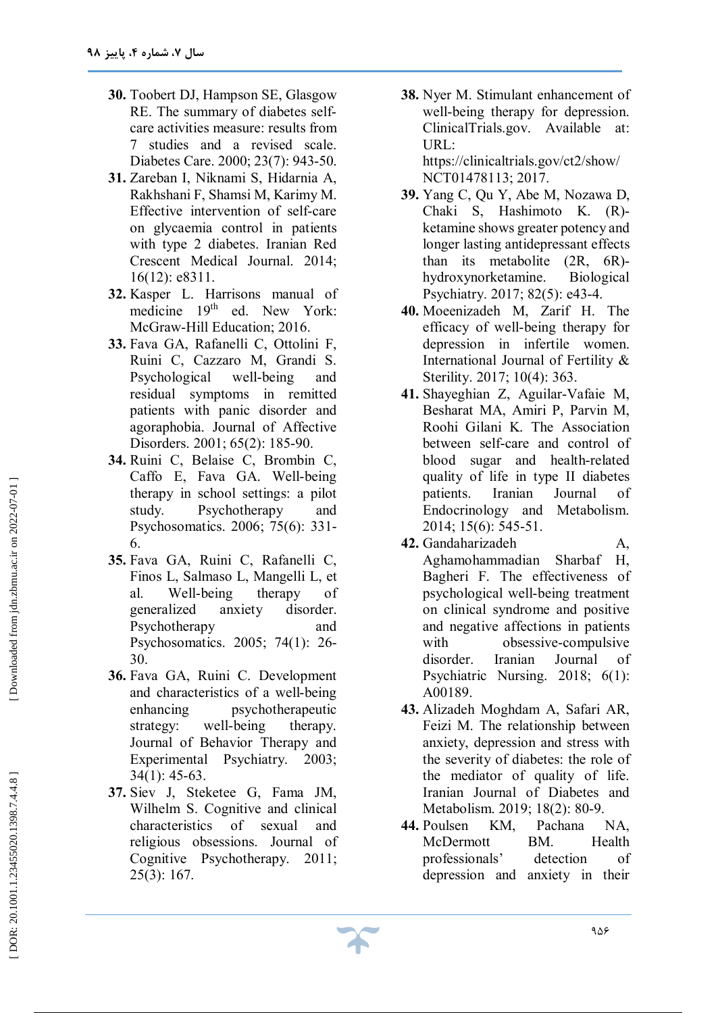- **30 .** Toobert DJ, Hampson SE, Glasgow RE. The summary of diabetes selfcare activities measure: results from 7 studies and a revised scale. Diabetes Care. 2000; 23(7): 943 -50.
- **31 .** Zareban I, Niknami S, Hidarnia A, Rakhshani F, Shamsi M, Karimy M. Effective intervention of self-care on glycaemia control in patients with type 2 diabetes. Iranian Red Crescent Medical Journal. 2014; 16(12): e8311.
- **32 .** Kasper L. Harrisons manual of medicine 19th ed. New York: McGraw -Hill Education; 2016.
- **33 .** Fava GA, Rafanelli C, Ottolini F, Ruini C, Cazzaro M, Grandi S. Psychological well-being and residual symptoms in remitted patients with panic disorder and agoraphobia. Journal of Affective Disorders. 2001; 65(2): 185 -90.
- **34 .** Ruini C, Belaise C, Brombin C, Caffo E, Fava GA. Well -being therapy in school settings: a pilot study. Psychotherapy and Psychosomatics. 2006; 75(6): 331 - 6.
- **35 .** Fava GA, Ruini C, Rafanelli C, Finos L, Salmaso L, Mangelli L, et al. Well therapy of generalized anxiety disorder. Psychotherapy and Psychosomatics. 2005; 74(1): 26 - 30.
- **36 .** Fava GA, Ruini C. Development and characteristics of a well -being enhancing psychotherapeutic strategy: well-being therapy. Journal of Behavior Therapy and Experimental Psychiatry. 2003; 34(1): 45 -63.
- **37 .** Siev J, Steketee G, Fama JM, Wilhelm S. Cognitive and clinical characteristics of sexual and religious obsessions. Journal of Cognitive Psychotherapy. 2011; 25(3): 167.

**38 .** Nyer M. Stimulant enhancement of well -being therapy for depression. ClinicalTrials.gov. Available at: URL: https://clinicaltrials.gov/ct2/show/

NCT01478113; 2017.

- **39 .** Yang C, Qu Y, Abe M, Nozawa D, Chaki S, Hashimoto K. (R) ketamine shows greater potency and longer lasting antidepressant effects than its metabolite (2R, 6R) hydroxynorketamine. Biological Psychiatry. 2017; 82(5): e43 -4.
- **40 .** Moeenizadeh M, Zarif H. The efficacy of well -being therapy for depression in infertile women. International Journal of Fertility & Sterility. 2017; 10(4): 363.
- **41 .** Shayeghian Z, Aguilar -Vafaie M, Besharat MA, Amiri P, Parvin M, Roohi Gilani K. The Association between self-care and control of blood sugar and health -related quality of life in type II diabetes patients. Iranian Journal of Endocrinology and Metabolism. 2014; 15(6): 545 -51.
- **42 .** Gandaharizadeh A, Aghamohammadian Sharbaf H, Bagheri F. The effectiveness of psychological well -being treatment on clinical syndrome and positive and negative affections in patients with obsessive -compulsive disorder. Iranian Journal of Psychiatric Nursing. 2018; 6(1): A00189.
- **43 .** Alizadeh Moghdam A, Safari AR, Feizi M. The relationship between anxiety, depression and stress with the severity of diabetes: the role of the mediator of quality of life. Iranian Journal of Diabetes and Metabolism. 2019; 18(2): 80 -9.
- **44** KM, Pachana NA, McDermott BM. Health professionals' detection of depression and anxiety in their

۹۵۶